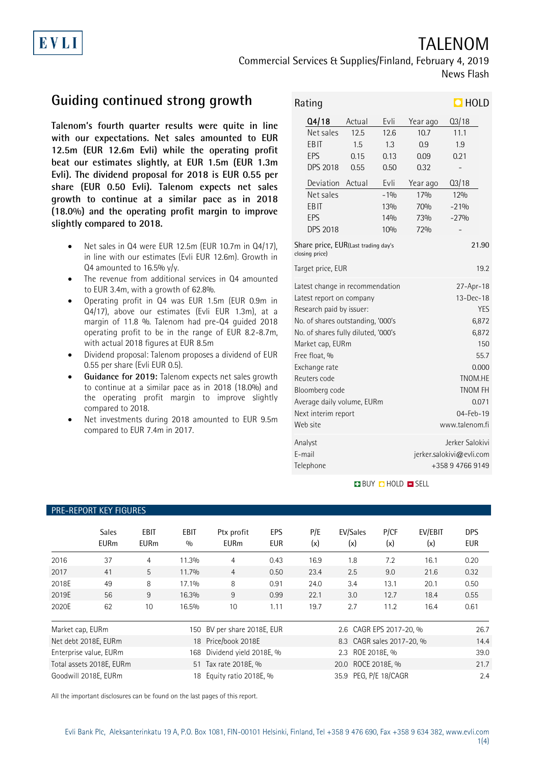# TALENOM

Commercial Services & Supplies/Finland, February 4, 2019 News Flash

# **Guiding continued strong growth**

EVLI

**Talenom's fourth quarter results were quite in line with our expectations. Net sales amounted to EUR 12.5m (EUR 12.6m Evli) while the operating profit beat our estimates slightly, at EUR 1.5m (EUR 1.3m Evli). The dividend proposal for 2018 is EUR 0.55 per share (EUR 0.50 Evli). Talenom expects net sales growth to continue at a similar pace as in 2018 (18.0%) and the operating profit margin to improve slightly compared to 2018.**

- Net sales in Q4 were EUR 12.5m (EUR 10.7m in Q4/17), in line with our estimates (Evli EUR 12.6m). Growth in Q4 amounted to 16.5% y/y.
- The revenue from additional services in Q4 amounted to EUR 3.4m, with a growth of 62.8%.
- Operating profit in Q4 was EUR 1.5m (EUR 0.9m in Q4/17), above our estimates (Evli EUR 1.3m), at a margin of 11.8 %. Talenom had pre-Q4 guided 2018 operating profit to be in the range of EUR 8.2-8.7m, with actual 2018 figures at EUR 8.5m
- Dividend proposal: Talenom proposes a dividend of EUR 0.55 per share (Evli EUR 0.5).
- **Guidance for 2019:** Talenom expects net sales growth to continue at a similar pace as in 2018 (18.0%) and the operating profit margin to improve slightly compared to 2018.
- Net investments during 2018 amounted to EUR 9.5m compared to EUR 7.4m in 2017.

PRE-REPORT KEY FIGURES

| $\Box$ HOLD<br>Rating                                          |                                     |        |            |                 |                  |  |
|----------------------------------------------------------------|-------------------------------------|--------|------------|-----------------|------------------|--|
|                                                                | Q4/18                               | Actual | Evli       | Year ago        | Q3/18            |  |
|                                                                | Net sales                           | 12.5   | 12.6       | 10.7            | 11.1             |  |
|                                                                | <b>EBIT</b>                         | 1.5    | 1.3        | 0.9             | 1.9              |  |
|                                                                | EPS                                 | 0.15   | 0.13       | 0.09            | 0.21             |  |
|                                                                | <b>DPS 2018</b>                     | 0.55   | 0.50       | 0.32            |                  |  |
|                                                                | Deviation                           | Actual | Evli       | Year ago        | Q3/18            |  |
|                                                                | Net sales                           |        | $-1%$      | 17%             | 12%              |  |
|                                                                | EBIT                                |        | 13%        | 70%             | $-21%$           |  |
|                                                                | EPS                                 |        | 14%        | 73%             | $-27%$           |  |
|                                                                | <b>DPS 2018</b>                     |        | 10%        | 72%             |                  |  |
| Share price, EUR(Last trading day's<br>21.90<br>closing price) |                                     |        |            |                 |                  |  |
|                                                                | Target price, EUR                   |        |            |                 | 19.2             |  |
|                                                                | Latest change in recommendation     |        | 27-Apr-18  |                 |                  |  |
|                                                                | Latest report on company            |        | 13-Dec-18  |                 |                  |  |
|                                                                | Research paid by issuer:            |        | <b>YES</b> |                 |                  |  |
|                                                                | No. of shares outstanding, '000's   |        | 6,872      |                 |                  |  |
|                                                                | No. of shares fully diluted, '000's |        | 6,872      |                 |                  |  |
|                                                                | Market cap, EURm                    |        | 150        |                 |                  |  |
|                                                                | Free float, %                       |        | 55.7       |                 |                  |  |
|                                                                | Exchange rate                       |        | 0.000      |                 |                  |  |
|                                                                | Reuters code                        |        | TNOM.HE    |                 |                  |  |
|                                                                | Bloomberg code                      |        | TNOM FH    |                 |                  |  |
|                                                                | Average daily volume, EURm          |        | 0.071      |                 |                  |  |
| Next interim report                                            |                                     |        |            | $04 - Feb - 19$ |                  |  |
|                                                                | Web site                            |        |            |                 | www.talenom.fi   |  |
|                                                                | Analyst                             |        |            |                 | Jerker Salokivi  |  |
|                                                                | E-mail<br>jerker.salokivi@evli.com  |        |            |                 |                  |  |
|                                                                | Telephone                           |        |            |                 | +358 9 4766 9149 |  |

### **BUY Q HOLD O SELL**

|                               | <b>Sales</b><br><b>EURm</b>                                              | EBIT<br><b>EURm</b> | EBIT<br>0/0             | Ptx profit<br><b>EURm</b> | EPS<br><b>EUR</b>  | P/E<br>(x)              | EV/Sales<br>(x) | P/CF<br>(x) | EV/EBIT<br>(x) | <b>DPS</b><br><b>EUR</b> |
|-------------------------------|--------------------------------------------------------------------------|---------------------|-------------------------|---------------------------|--------------------|-------------------------|-----------------|-------------|----------------|--------------------------|
| 2016                          | 37                                                                       | 4                   | 11.3%                   | 4                         | 0.43               | 16.9                    | 1.8             | 7.2         | 16.1           | 0.20                     |
| 2017                          | 41                                                                       | 5                   | 11.7%                   | $\overline{4}$            | 0.50               | 23.4                    | 2.5             | 9.0         | 21.6           | 0.32                     |
| 2018E                         | 49                                                                       | 8                   | 17.1%                   | 8                         | 0.91               | 24.0                    | 3.4             | 13.1        | 20.1           | 0.50                     |
| 2019E                         | 56                                                                       | 9                   | 16.3%                   | 9                         | 0.99               | 22.1                    | 3.0             | 12.7        | 18.4           | 0.55                     |
| 2020E                         | 62                                                                       | 10                  | 16.5%                   | 10                        | 1.11               | 19.7                    | 2.7             | 11.2        | 16.4           | 0.61                     |
| Market cap, EURm<br>150       |                                                                          |                     | BV per share 2018E, EUR |                           |                    | 2.6 CAGR EPS 2017-20, % |                 |             | 26.7           |                          |
|                               | 18 Price/book 2018E<br>8.3 CAGR sales 2017-20, %<br>Net debt 2018E, EURm |                     |                         |                           |                    | 14.4                    |                 |             |                |                          |
| Enterprise value, EURm<br>168 |                                                                          |                     | Dividend yield 2018E, % |                           | 2.3 ROE 2018E, %   |                         |                 | 39.0        |                |                          |
| Total assets 2018E, EURm      |                                                                          |                     | 51 Tax rate 2018E, %    |                           | 20.0 ROCE 2018E, % |                         |                 | 21.7        |                |                          |
| Goodwill 2018E, EURm<br>18    |                                                                          |                     | Equity ratio 2018E, %   |                           |                    | 35.9 PEG, P/E 18/CAGR   |                 |             | 2.4            |                          |

All the important disclosures can be found on the last pages of this report.

#### 1(4)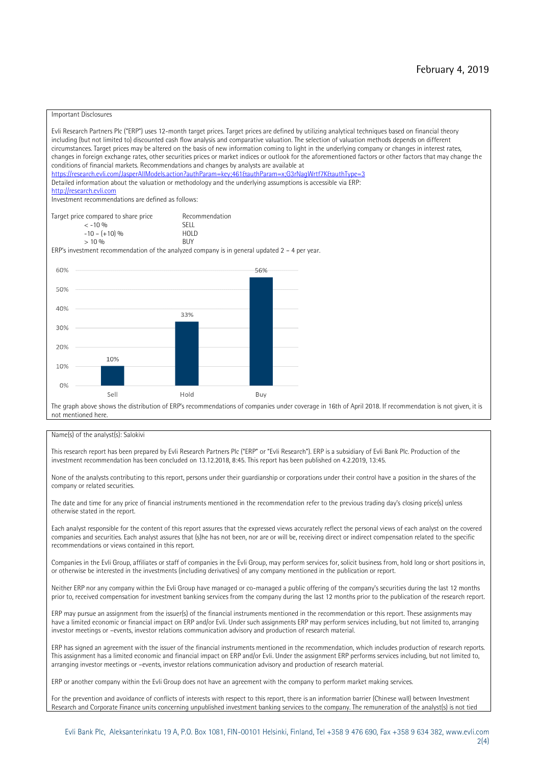#### Important Disclosures

Evli Research Partners Plc ("ERP") uses 12-month target prices. Target prices are defined by utilizing analytical techniques based on financial theory including (but not limited to) discounted cash flow analysis and comparative valuation. The selection of valuation methods depends on different circumstances. Target prices may be altered on the basis of new information coming to light in the underlying company or changes in interest rates, changes in foreign exchange rates, other securities prices or market indices or outlook for the aforementioned factors or other factors that may change the conditions of financial markets. Recommendations and changes by analysts are available at <https://research.evli.com/JasperAllModels.action?authParam=key;461&authParam=x;G3rNagWrtf7K&authType=3> Detailed information about the valuation or methodology and the underlying assumptions is accessible via ERP: [http://research.evli.com](http://research.evli.com/) Investment recommendations are defined as follows: Target price compared to share price Recommendation<br> $\leq 10\%$  $\langle 5, -10, 9 \rangle$  SELL<br>  $\langle -10, - (+10), 9 \rangle$  HOLD  $-10 - (+10) \%$  HOL<br>  $> 10 \%$  BUY  $> 10\%$ ERP's investment recommendation of the analyzed company is in general updated  $2 - 4$  per year. 60% 56% 50% 40% 33%  $30%$ 20% 10% 10%  $0%$ Sell Hold Buy The graph above shows the distribution of ERP's recommendations of companies under coverage in 16th of April 2018. If recommendation is not given, it is not mentioned here.

#### Name(s) of the analyst(s): Salokivi

This research report has been prepared by Evli Research Partners Plc ("ERP" or "Evli Research"). ERP is a subsidiary of Evli Bank Plc. Production of the investment recommendation has been concluded on 13.12.2018, 8:45. This report has been published on 4.2.2019, 13:45.

None of the analysts contributing to this report, persons under their guardianship or corporations under their control have a position in the shares of the company or related securities.

The date and time for any price of financial instruments mentioned in the recommendation refer to the previous trading day's closing price(s) unless otherwise stated in the report.

Each analyst responsible for the content of this report assures that the expressed views accurately reflect the personal views of each analyst on the covered companies and securities. Each analyst assures that (s)he has not been, nor are or will be, receiving direct or indirect compensation related to the specific recommendations or views contained in this report.

Companies in the Evli Group, affiliates or staff of companies in the Evli Group, may perform services for, solicit business from, hold long or short positions in, or otherwise be interested in the investments (including derivatives) of any company mentioned in the publication or report.

Neither ERP nor any company within the Evli Group have managed or co-managed a public offering of the company's securities during the last 12 months prior to, received compensation for investment banking services from the company during the last 12 months prior to the publication of the research report.

ERP may pursue an assignment from the issuer(s) of the financial instruments mentioned in the recommendation or this report. These assignments may have a limited economic or financial impact on ERP and/or Evli. Under such assignments ERP may perform services including, but not limited to, arranging investor meetings or –events, investor relations communication advisory and production of research material.

ERP has signed an agreement with the issuer of the financial instruments mentioned in the recommendation, which includes production of research reports. This assignment has a limited economic and financial impact on ERP and/or Evli. Under the assignment ERP performs services including, but not limited to, arranging investor meetings or –events, investor relations communication advisory and production of research material.

ERP or another company within the Evli Group does not have an agreement with the company to perform market making services.

For the prevention and avoidance of conflicts of interests with respect to this report, there is an information barrier (Chinese wall) between Investment Research and Corporate Finance units concerning unpublished investment banking services to the company. The remuneration of the analyst(s) is not tied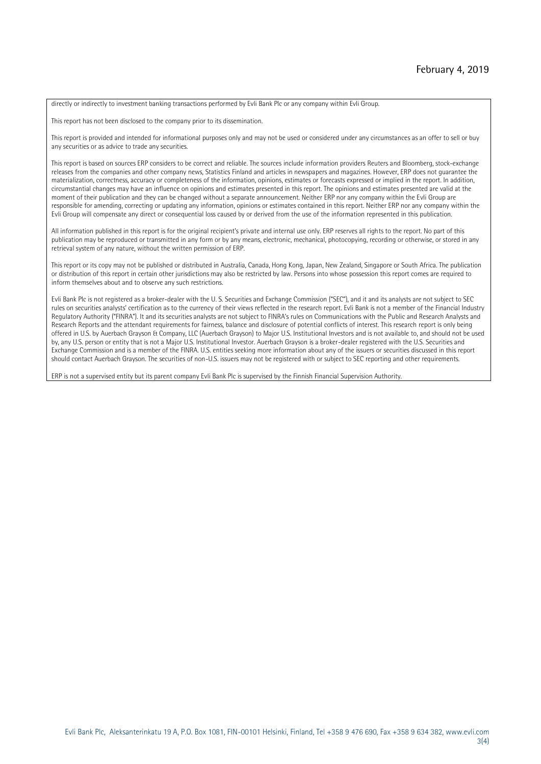directly or indirectly to investment banking transactions performed by Evli Bank Plc or any company within Evli Group.

This report has not been disclosed to the company prior to its dissemination.

This report is provided and intended for informational purposes only and may not be used or considered under any circumstances as an offer to sell or buy any securities or as advice to trade any securities.

This report is based on sources ERP considers to be correct and reliable. The sources include information providers Reuters and Bloomberg, stock-exchange releases from the companies and other company news, Statistics Finland and articles in newspapers and magazines. However, ERP does not guarantee the materialization, correctness, accuracy or completeness of the information, opinions, estimates or forecasts expressed or implied in the report. In addition, circumstantial changes may have an influence on opinions and estimates presented in this report. The opinions and estimates presented are valid at the moment of their publication and they can be changed without a separate announcement. Neither ERP nor any company within the Evli Group are responsible for amending, correcting or updating any information, opinions or estimates contained in this report. Neither ERP nor any company within the Evli Group will compensate any direct or consequential loss caused by or derived from the use of the information represented in this publication.

All information published in this report is for the original recipient's private and internal use only. ERP reserves all rights to the report. No part of this publication may be reproduced or transmitted in any form or by any means, electronic, mechanical, photocopying, recording or otherwise, or stored in any retrieval system of any nature, without the written permission of ERP.

This report or its copy may not be published or distributed in Australia, Canada, Hong Kong, Japan, New Zealand, Singapore or South Africa. The publication or distribution of this report in certain other jurisdictions may also be restricted by law. Persons into whose possession this report comes are required to inform themselves about and to observe any such restrictions.

Evli Bank Plc is not registered as a broker-dealer with the U. S. Securities and Exchange Commission ("SEC"), and it and its analysts are not subject to SEC rules on securities analysts' certification as to the currency of their views reflected in the research report. Evli Bank is not a member of the Financial Industry Regulatory Authority ("FINRA"). It and its securities analysts are not subject to FINRA's rules on Communications with the Public and Research Analysts and Research Reports and the attendant requirements for fairness, balance and disclosure of potential conflicts of interest. This research report is only being offered in U.S. by Auerbach Grayson & Company, LLC (Auerbach Grayson) to Major U.S. Institutional Investors and is not available to, and should not be used by, any U.S. person or entity that is not a Major U.S. Institutional Investor. Auerbach Grayson is a broker-dealer registered with the U.S. Securities and Exchange Commission and is a member of the FINRA. U.S. entities seeking more information about any of the issuers or securities discussed in this report should contact Auerbach Grayson. The securities of non-U.S. issuers may not be registered with or subject to SEC reporting and other requirements.

ERP is not a supervised entity but its parent company Evli Bank Plc is supervised by the Finnish Financial Supervision Authority.